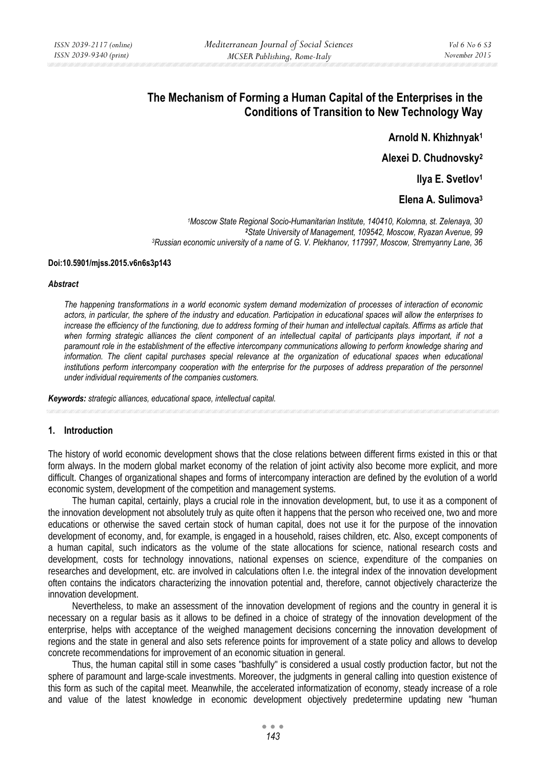# **The Mechanism of Forming a Human Capital of the Enterprises in the Conditions of Transition to New Technology Way**

**Arnold N. Khizhnyak1**

**Alexei D. Chudnovsky2**

 **Ilya E. Svetlov1**

# **Elena A. Sulimova3**

*1Moscow State Regional Socio-Humanitarian Institute, 140410, Kolomna, st. Zelenaya, 30 <sup>2</sup>State University of Management, 109542, Moscow, Ryazan Avenue, 99 3Russian economic university of a name of G. V. Plekhanov, 117997, Moscow, Stremyanny Lane, 36* 

#### **Doi:10.5901/mjss.2015.v6n6s3p143**

#### *Abstract*

*The happening transformations in a world economic system demand modernization of processes of interaction of economic actors, in particular, the sphere of the industry and education. Participation in educational spaces will allow the enterprises to increase the efficiency of the functioning, due to address forming of their human and intellectual capitals. Affirms as article that*  when forming strategic alliances the client component of an intellectual capital of participants plays important, if not a *paramount role in the establishment of the effective intercompany communications allowing to perform knowledge sharing and*  information. The client capital purchases special relevance at the organization of educational spaces when educational *institutions perform intercompany cooperation with the enterprise for the purposes of address preparation of the personnel under individual requirements of the companies customers.* 

*Keywords: strategic alliances, educational space, intellectual capital.*

### **1. Introduction**

The history of world economic development shows that the close relations between different firms existed in this or that form always. In the modern global market economy of the relation of joint activity also become more explicit, and more difficult. Changes of organizational shapes and forms of intercompany interaction are defined by the evolution of a world economic system, development of the competition and management systems.

The human capital, certainly, plays a crucial role in the innovation development, but, to use it as a component of the innovation development not absolutely truly as quite often it happens that the person who received one, two and more educations or otherwise the saved certain stock of human capital, does not use it for the purpose of the innovation development of economy, and, for example, is engaged in a household, raises children, etc. Also, except components of a human capital, such indicators as the volume of the state allocations for science, national research costs and development, costs for technology innovations, national expenses on science, expenditure of the companies on researches and development, etc. are involved in calculations often I.e. the integral index of the innovation development often contains the indicators characterizing the innovation potential and, therefore, cannot objectively characterize the innovation development.

Nevertheless, to make an assessment of the innovation development of regions and the country in general it is necessary on a regular basis as it allows to be defined in a choice of strategy of the innovation development of the enterprise, helps with acceptance of the weighed management decisions concerning the innovation development of regions and the state in general and also sets reference points for improvement of a state policy and allows to develop concrete recommendations for improvement of an economic situation in general.

Thus, the human capital still in some cases "bashfully" is considered a usual costly production factor, but not the sphere of paramount and large-scale investments. Moreover, the judgments in general calling into question existence of this form as such of the capital meet. Meanwhile, the accelerated informatization of economy, steady increase of a role and value of the latest knowledge in economic development objectively predetermine updating new "human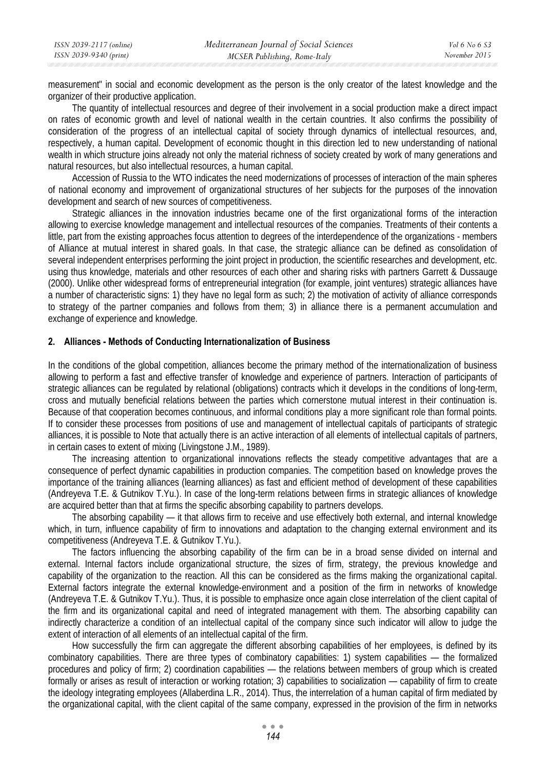| ISSN 2039-2117 (online) | Mediterranean Journal of Social Sciences | Vol 6 No 6 S3 |
|-------------------------|------------------------------------------|---------------|
| ISSN 2039-9340 (print)  | MCSER Publishing, Rome-Italy             | November 2015 |

measurement" in social and economic development as the person is the only creator of the latest knowledge and the organizer of their productive application.

The quantity of intellectual resources and degree of their involvement in a social production make a direct impact on rates of economic growth and level of national wealth in the certain countries. It also confirms the possibility of consideration of the progress of an intellectual capital of society through dynamics of intellectual resources, and, respectively, a human capital. Development of economic thought in this direction led to new understanding of national wealth in which structure joins already not only the material richness of society created by work of many generations and natural resources, but also intellectual resources, a human capital.

Accession of Russia to the WTO indicates the need modernizations of processes of interaction of the main spheres of national economy and improvement of organizational structures of her subjects for the purposes of the innovation development and search of new sources of competitiveness.

Strategic alliances in the innovation industries became one of the first organizational forms of the interaction allowing to exercise knowledge management and intellectual resources of the companies. Treatments of their contents a little, part from the existing approaches focus attention to degrees of the interdependence of the organizations - members of Alliance at mutual interest in shared goals. In that case, the strategic alliance can be defined as consolidation of several independent enterprises performing the joint project in production, the scientific researches and development, etc. using thus knowledge, materials and other resources of each other and sharing risks with partners Garrett & Dussauge (2000). Unlike other widespread forms of entrepreneurial integration (for example, joint ventures) strategic alliances have a number of characteristic signs: 1) they have no legal form as such; 2) the motivation of activity of alliance corresponds to strategy of the partner companies and follows from them; 3) in alliance there is a permanent accumulation and exchange of experience and knowledge.

## **2. Alliances - Methods of Conducting Internationalization of Business**

In the conditions of the global competition, alliances become the primary method of the internationalization of business allowing to perform a fast and effective transfer of knowledge and experience of partners. Interaction of participants of strategic alliances can be regulated by relational (obligations) contracts which it develops in the conditions of long-term, cross and mutually beneficial relations between the parties which cornerstone mutual interest in their continuation is. Because of that cooperation becomes continuous, and informal conditions play a more significant role than formal points. If to consider these processes from positions of use and management of intellectual capitals of participants of strategic alliances, it is possible to Note that actually there is an active interaction of all elements of intellectual capitals of partners, in certain cases to extent of mixing (Livingstone J.M., 1989).

The increasing attention to organizational innovations reflects the steady competitive advantages that are a consequence of perfect dynamic capabilities in production companies. The competition based on knowledge proves the importance of the training alliances (learning alliances) as fast and efficient method of development of these capabilities (Andreyeva T.E. & Gutnikov T.Yu.). In case of the long-term relations between firms in strategic alliances of knowledge are acquired better than that at firms the specific absorbing capability to partners develops.

The absorbing capability — it that allows firm to receive and use effectively both external, and internal knowledge which, in turn, influence capability of firm to innovations and adaptation to the changing external environment and its competitiveness (Andreyeva T.E. & Gutnikov T.Yu.).

The factors influencing the absorbing capability of the firm can be in a broad sense divided on internal and external. Internal factors include organizational structure, the sizes of firm, strategy, the previous knowledge and capability of the organization to the reaction. All this can be considered as the firms making the organizational capital. External factors integrate the external knowledge-environment and a position of the firm in networks of knowledge (Andreyeva T.E. & Gutnikov T.Yu.). Thus, it is possible to emphasize once again close interrelation of the client capital of the firm and its organizational capital and need of integrated management with them. The absorbing capability can indirectly characterize a condition of an intellectual capital of the company since such indicator will allow to judge the extent of interaction of all elements of an intellectual capital of the firm.

How successfully the firm can aggregate the different absorbing capabilities of her employees, is defined by its combinatory capabilities. There are three types of combinatory capabilities: 1) system capabilities — the formalized procedures and policy of firm; 2) coordination capabilities — the relations between members of group which is created formally or arises as result of interaction or working rotation; 3) capabilities to socialization — capability of firm to create the ideology integrating employees (Allaberdina L.R., 2014). Thus, the interrelation of a human capital of firm mediated by the organizational capital, with the client capital of the same company, expressed in the provision of the firm in networks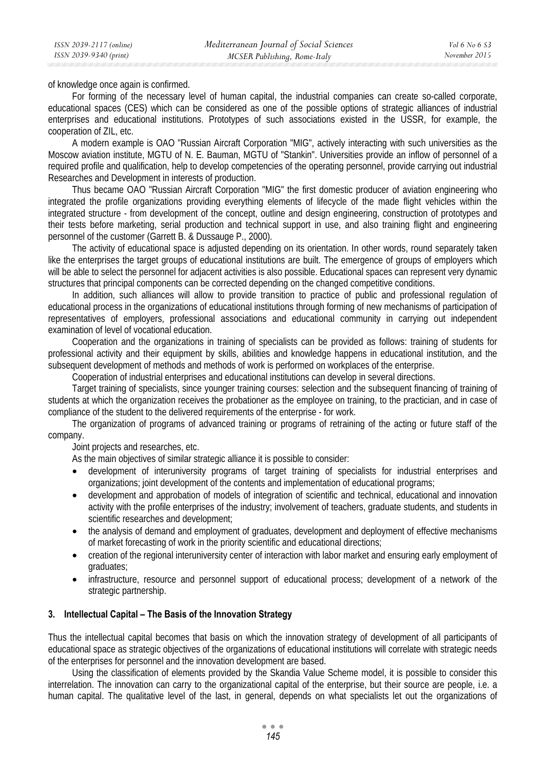of knowledge once again is confirmed.

For forming of the necessary level of human capital, the industrial companies can create so-called corporate, educational spaces (CES) which can be considered as one of the possible options of strategic alliances of industrial enterprises and educational institutions. Prototypes of such associations existed in the USSR, for example, the cooperation of ZIL, etc.

A modern example is OAO "Russian Aircraft Corporation "MIG", actively interacting with such universities as the Moscow aviation institute, MGTU of N. E. Bauman, MGTU of "Stankin". Universities provide an inflow of personnel of a required profile and qualification, help to develop competencies of the operating personnel, provide carrying out industrial Researches and Development in interests of production.

Thus became OAO "Russian Aircraft Corporation "MIG" the first domestic producer of aviation engineering who integrated the profile organizations providing everything elements of lifecycle of the made flight vehicles within the integrated structure - from development of the concept, outline and design engineering, construction of prototypes and their tests before marketing, serial production and technical support in use, and also training flight and engineering personnel of the customer (Garrett B. & Dussauge P., 2000).

The activity of educational space is adjusted depending on its orientation. In other words, round separately taken like the enterprises the target groups of educational institutions are built. The emergence of groups of employers which will be able to select the personnel for adjacent activities is also possible. Educational spaces can represent very dynamic structures that principal components can be corrected depending on the changed competitive conditions.

In addition, such alliances will allow to provide transition to practice of public and professional regulation of educational process in the organizations of educational institutions through forming of new mechanisms of participation of representatives of employers, professional associations and educational community in carrying out independent examination of level of vocational education.

Cooperation and the organizations in training of specialists can be provided as follows: training of students for professional activity and their equipment by skills, abilities and knowledge happens in educational institution, and the subsequent development of methods and methods of work is performed on workplaces of the enterprise.

Cooperation of industrial enterprises and educational institutions can develop in several directions.

Target training of specialists, since younger training courses: selection and the subsequent financing of training of students at which the organization receives the probationer as the employee on training, to the practician, and in case of compliance of the student to the delivered requirements of the enterprise - for work.

The organization of programs of advanced training or programs of retraining of the acting or future staff of the company.

Joint projects and researches, etc.

As the main objectives of similar strategic alliance it is possible to consider:

- development of interuniversity programs of target training of specialists for industrial enterprises and organizations; joint development of the contents and implementation of educational programs;
- development and approbation of models of integration of scientific and technical, educational and innovation activity with the profile enterprises of the industry; involvement of teachers, graduate students, and students in scientific researches and development;
- the analysis of demand and employment of graduates, development and deployment of effective mechanisms of market forecasting of work in the priority scientific and educational directions;
- creation of the regional interuniversity center of interaction with labor market and ensuring early employment of graduates;
- infrastructure, resource and personnel support of educational process; development of a network of the strategic partnership.

## **3. Intellectual Capital – The Basis of the Innovation Strategy**

Thus the intellectual capital becomes that basis on which the innovation strategy of development of all participants of educational space as strategic objectives of the organizations of educational institutions will correlate with strategic needs of the enterprises for personnel and the innovation development are based.

Using the classification of elements provided by the Skandia Value Scheme model, it is possible to consider this interrelation. The innovation can carry to the organizational capital of the enterprise, but their source are people, i.e. a human capital. The qualitative level of the last, in general, depends on what specialists let out the organizations of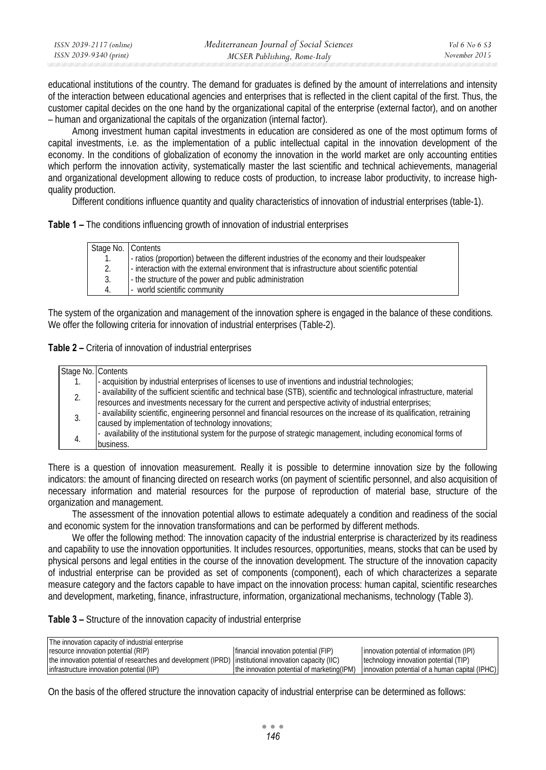| ISSN 2039-2117 (online) | Mediterranean Journal of Social Sciences | Vol 6 No 6 S3 |
|-------------------------|------------------------------------------|---------------|
| ISSN 2039-9340 (print)  | MCSER Publishing, Rome-Italy             | November 2015 |

educational institutions of the country. The demand for graduates is defined by the amount of interrelations and intensity of the interaction between educational agencies and enterprises that is reflected in the client capital of the first. Thus, the customer capital decides on the one hand by the organizational capital of the enterprise (external factor), and on another – human and organizational the capitals of the organization (internal factor).

Among investment human capital investments in education are considered as one of the most optimum forms of capital investments, i.e. as the implementation of a public intellectual capital in the innovation development of the economy. In the conditions of globalization of economy the innovation in the world market are only accounting entities which perform the innovation activity, systematically master the last scientific and technical achievements, managerial and organizational development allowing to reduce costs of production, to increase labor productivity, to increase highquality production.

Different conditions influence quantity and quality characteristics of innovation of industrial enterprises (table-1).

**Table 1 –** The conditions influencing growth of innovation of industrial enterprises

| Stage No. Contents |                                                                                               |
|--------------------|-----------------------------------------------------------------------------------------------|
|                    | - ratios (proportion) between the different industries of the economy and their loudspeaker   |
|                    | - interaction with the external environment that is infrastructure about scientific potential |
|                    | - the structure of the power and public administration                                        |
|                    | - world scientific community                                                                  |

The system of the organization and management of the innovation sphere is engaged in the balance of these conditions. We offer the following criteria for innovation of industrial enterprises (Table-2).

**Table 2 –** Criteria of innovation of industrial enterprises

| Stage No. Contents |                                                                                                                                                                                                                                        |
|--------------------|----------------------------------------------------------------------------------------------------------------------------------------------------------------------------------------------------------------------------------------|
|                    | - acquisition by industrial enterprises of licenses to use of inventions and industrial technologies;                                                                                                                                  |
| 2.                 | - availability of the sufficient scientific and technical base (STB), scientific and technological infrastructure, material<br>resources and investments necessary for the current and perspective activity of industrial enterprises; |
| 3.                 | - availability scientific, engineering personnel and financial resources on the increase of its qualification, retraining<br>caused by implementation of technology innovations;                                                       |
| -4.                | availability of the institutional system for the purpose of strategic management, including economical forms of<br>business.                                                                                                           |
|                    |                                                                                                                                                                                                                                        |

There is a question of innovation measurement. Really it is possible to determine innovation size by the following indicators: the amount of financing directed on research works (on payment of scientific personnel, and also acquisition of necessary information and material resources for the purpose of reproduction of material base, structure of the organization and management.

The assessment of the innovation potential allows to estimate adequately a condition and readiness of the social and economic system for the innovation transformations and can be performed by different methods.

We offer the following method: The innovation capacity of the industrial enterprise is characterized by its readiness and capability to use the innovation opportunities. It includes resources, opportunities, means, stocks that can be used by physical persons and legal entities in the course of the innovation development. The structure of the innovation capacity of industrial enterprise can be provided as set of components (component), each of which characterizes a separate measure category and the factors capable to have impact on the innovation process: human capital, scientific researches and development, marketing, finance, infrastructure, information, organizational mechanisms, technology (Table 3).

**Table 3 –** Structure of the innovation capacity of industrial enterprise

| The innovation capacity of industrial enterprise                                                         |                                            |                                                 |  |
|----------------------------------------------------------------------------------------------------------|--------------------------------------------|-------------------------------------------------|--|
| resource innovation potential (RIP)                                                                      | financial innovation potential (FIP)       | innovation potential of information (IPI)       |  |
| (Ithe innovation potential of researches and development (IPRD) linstitutional innovation capacity (IIC) |                                            | technology innovation potential (TIP)           |  |
| linfrastructure innovation potential (IIP)                                                               | the innovation potential of marketing(IPM) | linnovation potential of a human capital (IPHC) |  |

On the basis of the offered structure the innovation capacity of industrial enterprise can be determined as follows: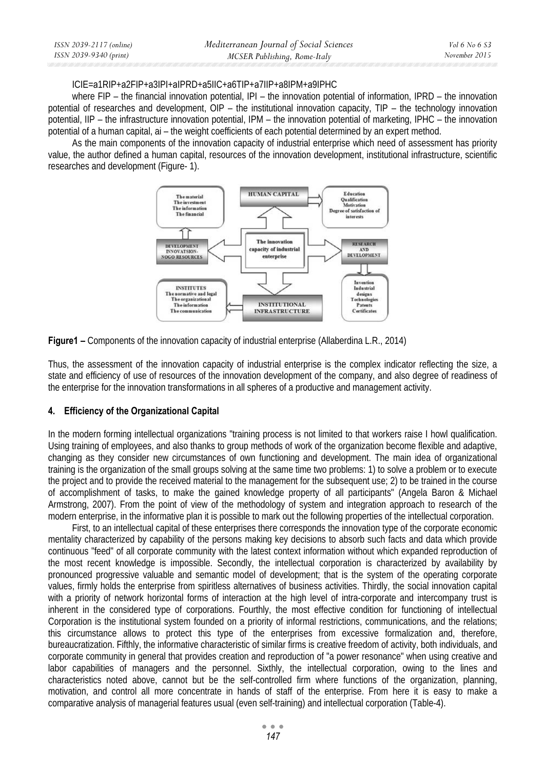| ISSN 2039-2117 (online) | Mediterranean Journal of Social Sciences | <i>Vol</i> 6 No 6 S3 |
|-------------------------|------------------------------------------|----------------------|
| ISSN 2039-9340 (print)  | MCSER Publishing, Rome-Italy             | November 2015        |

ICIE=a1RIP+a2FIP+a3IPI+aIPRD+a5IIC+a6TIP+a7IIP+a8IPM+a9IPHC

where FIP – the financial innovation potential, IPI – the innovation potential of information, IPRD – the innovation potential of researches and development, OIP – the institutional innovation capacity, TIP – the technology innovation potential, IIP – the infrastructure innovation potential, IPM – the innovation potential of marketing, IPHC – the innovation potential of a human capital, ai – the weight coefficients of each potential determined by an expert method.

As the main components of the innovation capacity of industrial enterprise which need of assessment has priority value, the author defined a human capital, resources of the innovation development, institutional infrastructure, scientific researches and development (Figure- 1).



**Figure1 –** Components of the innovation capacity of industrial enterprise (Allaberdina L.R., 2014)

Thus, the assessment of the innovation capacity of industrial enterprise is the complex indicator reflecting the size, a state and efficiency of use of resources of the innovation development of the company, and also degree of readiness of the enterprise for the innovation transformations in all spheres of a productive and management activity.

### **4. Efficiency of the Organizational Capital**

In the modern forming intellectual organizations "training process is not limited to that workers raise I howl qualification. Using training of employees, and also thanks to group methods of work of the organization become flexible and adaptive, changing as they consider new circumstances of own functioning and development. The main idea of organizational training is the organization of the small groups solving at the same time two problems: 1) to solve a problem or to execute the project and to provide the received material to the management for the subsequent use; 2) to be trained in the course of accomplishment of tasks, to make the gained knowledge property of all participants" (Angela Baron & Michael Armstrong, 2007). From the point of view of the methodology of system and integration approach to research of the modern enterprise, in the informative plan it is possible to mark out the following properties of the intellectual corporation.

First, to an intellectual capital of these enterprises there corresponds the innovation type of the corporate economic mentality characterized by capability of the persons making key decisions to absorb such facts and data which provide continuous "feed" of all corporate community with the latest context information without which expanded reproduction of the most recent knowledge is impossible. Secondly, the intellectual corporation is characterized by availability by pronounced progressive valuable and semantic model of development; that is the system of the operating corporate values, firmly holds the enterprise from spiritless alternatives of business activities. Thirdly, the social innovation capital with a priority of network horizontal forms of interaction at the high level of intra-corporate and intercompany trust is inherent in the considered type of corporations. Fourthly, the most effective condition for functioning of intellectual Corporation is the institutional system founded on a priority of informal restrictions, communications, and the relations; this circumstance allows to protect this type of the enterprises from excessive formalization and, therefore, bureaucratization. Fifthly, the informative characteristic of similar firms is creative freedom of activity, both individuals, and corporate community in general that provides creation and reproduction of "a power resonance" when using creative and labor capabilities of managers and the personnel. Sixthly, the intellectual corporation, owing to the lines and characteristics noted above, cannot but be the self-controlled firm where functions of the organization, planning, motivation, and control all more concentrate in hands of staff of the enterprise. From here it is easy to make a comparative analysis of managerial features usual (even self-training) and intellectual corporation (Table-4).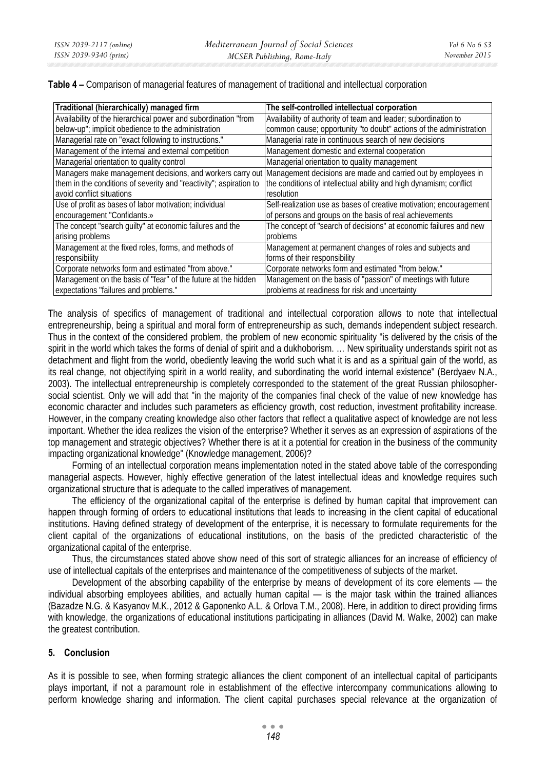| Traditional (hierarchically) managed firm                          | The self-controlled intellectual corporation                        |
|--------------------------------------------------------------------|---------------------------------------------------------------------|
| Availability of the hierarchical power and subordination "from     | Availability of authority of team and leader; subordination to      |
| below-up"; implicit obedience to the administration                | common cause; opportunity "to doubt" actions of the administration  |
| Managerial rate on "exact following to instructions."              | Managerial rate in continuous search of new decisions               |
| Management of the internal and external competition                | Management domestic and external cooperation                        |
| Managerial orientation to quality control                          | Managerial orientation to quality management                        |
| Managers make management decisions, and workers carry out          | Management decisions are made and carried out by employees in       |
| them in the conditions of severity and "reactivity"; aspiration to | the conditions of intellectual ability and high dynamism; conflict  |
| avoid conflict situations                                          | resolution                                                          |
| Use of profit as bases of labor motivation; individual             | Self-realization use as bases of creative motivation; encouragement |
| encouragement "Confidants.»                                        | of persons and groups on the basis of real achievements             |
| The concept "search quilty" at economic failures and the           | The concept of "search of decisions" at economic failures and new   |
| arising problems                                                   | problems                                                            |
| Management at the fixed roles, forms, and methods of               | Management at permanent changes of roles and subjects and           |
| responsibility                                                     | forms of their responsibility                                       |
| Corporate networks form and estimated "from above."                | Corporate networks form and estimated "from below."                 |
| Management on the basis of "fear" of the future at the hidden      | Management on the basis of "passion" of meetings with future        |
| expectations "failures and problems."                              | problems at readiness for risk and uncertainty                      |

**Table 4 –** Comparison of managerial features of management of traditional and intellectual corporation

The analysis of specifics of management of traditional and intellectual corporation allows to note that intellectual entrepreneurship, being a spiritual and moral form of entrepreneurship as such, demands independent subject research. Thus in the context of the considered problem, the problem of new economic spirituality "is delivered by the crisis of the spirit in the world which takes the forms of denial of spirit and a dukhoborism. … New spirituality understands spirit not as detachment and flight from the world, obediently leaving the world such what it is and as a spiritual gain of the world, as its real change, not objectifying spirit in a world reality, and subordinating the world internal existence" (Berdyaev N.A., 2003). The intellectual entrepreneurship is completely corresponded to the statement of the great Russian philosophersocial scientist. Only we will add that "in the majority of the companies final check of the value of new knowledge has economic character and includes such parameters as efficiency growth, cost reduction, investment profitability increase. However, in the company creating knowledge also other factors that reflect a qualitative aspect of knowledge are not less important. Whether the idea realizes the vision of the enterprise? Whether it serves as an expression of aspirations of the top management and strategic objectives? Whether there is at it a potential for creation in the business of the community impacting organizational knowledge" (Knowledge management, 2006)?

Forming of an intellectual corporation means implementation noted in the stated above table of the corresponding managerial aspects. However, highly effective generation of the latest intellectual ideas and knowledge requires such organizational structure that is adequate to the called imperatives of management.

The efficiency of the organizational capital of the enterprise is defined by human capital that improvement can happen through forming of orders to educational institutions that leads to increasing in the client capital of educational institutions. Having defined strategy of development of the enterprise, it is necessary to formulate requirements for the client capital of the organizations of educational institutions, on the basis of the predicted characteristic of the organizational capital of the enterprise.

Thus, the circumstances stated above show need of this sort of strategic alliances for an increase of efficiency of use of intellectual capitals of the enterprises and maintenance of the competitiveness of subjects of the market.

Development of the absorbing capability of the enterprise by means of development of its core elements — the individual absorbing employees abilities, and actually human capital — is the major task within the trained alliances (Bazadze N.G. & Kasyanov M.K., 2012 & Gaponenko A.L. & Orlova T.M., 2008). Here, in addition to direct providing firms with knowledge, the organizations of educational institutions participating in alliances (David M. Walke, 2002) can make the greatest contribution.

## **5. Conclusion**

As it is possible to see, when forming strategic alliances the client component of an intellectual capital of participants plays important, if not a paramount role in establishment of the effective intercompany communications allowing to perform knowledge sharing and information. The client capital purchases special relevance at the organization of